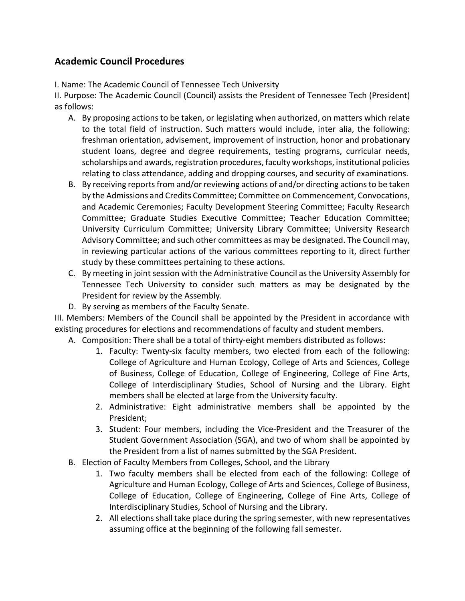## **Academic Council Procedures**

I. Name: The Academic Council of Tennessee Tech University

II. Purpose: The Academic Council (Council) assists the President of Tennessee Tech (President) as follows:

- A. By proposing actions to be taken, or legislating when authorized, on matters which relate to the total field of instruction. Such matters would include, inter alia, the following: freshman orientation, advisement, improvement of instruction, honor and probationary student loans, degree and degree requirements, testing programs, curricular needs, scholarships and awards, registration procedures, faculty workshops, institutional policies relating to class attendance, adding and dropping courses, and security of examinations.
- B. By receiving reports from and/or reviewing actions of and/or directing actions to be taken by the Admissions and Credits Committee; Committee on Commencement, Convocations, and Academic Ceremonies; Faculty Development Steering Committee; Faculty Research Committee; Graduate Studies Executive Committee; Teacher Education Committee; University Curriculum Committee; University Library Committee; University Research Advisory Committee; and such other committees as may be designated. The Council may, in reviewing particular actions of the various committees reporting to it, direct further study by these committees pertaining to these actions.
- C. By meeting in joint session with the Administrative Council as the University Assembly for Tennessee Tech University to consider such matters as may be designated by the President for review by the Assembly.
- D. By serving as members of the Faculty Senate.

III. Members: Members of the Council shall be appointed by the President in accordance with existing procedures for elections and recommendations of faculty and student members.

- A. Composition: There shall be a total of thirty‐eight members distributed as follows:
	- 1. Faculty: Twenty‐six faculty members, two elected from each of the following: College of Agriculture and Human Ecology, College of Arts and Sciences, College of Business, College of Education, College of Engineering, College of Fine Arts, College of Interdisciplinary Studies, School of Nursing and the Library. Eight members shall be elected at large from the University faculty.
	- 2. Administrative: Eight administrative members shall be appointed by the President;
	- 3. Student: Four members, including the Vice‐President and the Treasurer of the Student Government Association (SGA), and two of whom shall be appointed by the President from a list of names submitted by the SGA President.
- B. Election of Faculty Members from Colleges, School, and the Library
	- 1. Two faculty members shall be elected from each of the following: College of Agriculture and Human Ecology, College of Arts and Sciences, College of Business, College of Education, College of Engineering, College of Fine Arts, College of Interdisciplinary Studies, School of Nursing and the Library.
	- 2. All elections shall take place during the spring semester, with new representatives assuming office at the beginning of the following fall semester.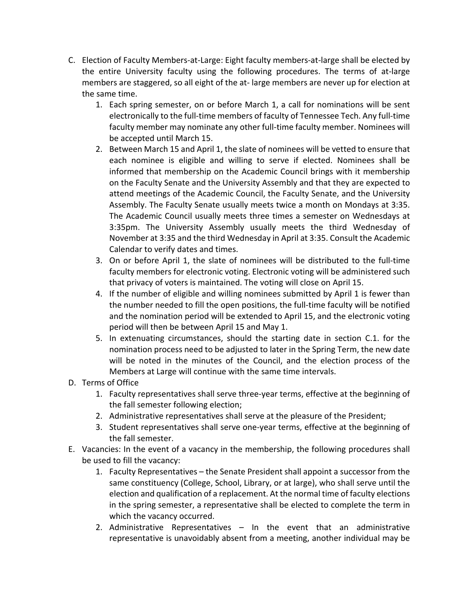- C. Election of Faculty Members‐at‐Large: Eight faculty members‐at‐large shall be elected by the entire University faculty using the following procedures. The terms of at-large members are staggered, so all eight of the at-large members are never up for election at the same time.
	- 1. Each spring semester, on or before March 1, a call for nominations will be sent electronically to the full‐time members of faculty of Tennessee Tech. Any full‐time faculty member may nominate any other full‐time faculty member. Nominees will be accepted until March 15.
	- 2. Between March 15 and April 1, the slate of nominees will be vetted to ensure that each nominee is eligible and willing to serve if elected. Nominees shall be informed that membership on the Academic Council brings with it membership on the Faculty Senate and the University Assembly and that they are expected to attend meetings of the Academic Council, the Faculty Senate, and the University Assembly. The Faculty Senate usually meets twice a month on Mondays at 3:35. The Academic Council usually meets three times a semester on Wednesdays at 3:35pm. The University Assembly usually meets the third Wednesday of November at 3:35 and the third Wednesday in April at 3:35. Consult the Academic Calendar to verify dates and times.
	- 3. On or before April 1, the slate of nominees will be distributed to the full-time faculty members for electronic voting. Electronic voting will be administered such that privacy of voters is maintained. The voting will close on April 15.
	- 4. If the number of eligible and willing nominees submitted by April 1 is fewer than the number needed to fill the open positions, the full‐time faculty will be notified and the nomination period will be extended to April 15, and the electronic voting period will then be between April 15 and May 1.
	- 5. In extenuating circumstances, should the starting date in section C.1. for the nomination process need to be adjusted to later in the Spring Term, the new date will be noted in the minutes of the Council, and the election process of the Members at Large will continue with the same time intervals.
- D. Terms of Office
	- 1. Faculty representatives shall serve three‐year terms, effective at the beginning of the fall semester following election;
	- 2. Administrative representatives shall serve at the pleasure of the President;
	- 3. Student representatives shall serve one‐year terms, effective at the beginning of the fall semester.
- E. Vacancies: In the event of a vacancy in the membership, the following procedures shall be used to fill the vacancy:
	- 1. Faculty Representatives the Senate President shall appoint a successor from the same constituency (College, School, Library, or at large), who shall serve until the election and qualification of a replacement. At the normal time of faculty elections in the spring semester, a representative shall be elected to complete the term in which the vacancy occurred.
	- 2. Administrative Representatives  $-$  In the event that an administrative representative is unavoidably absent from a meeting, another individual may be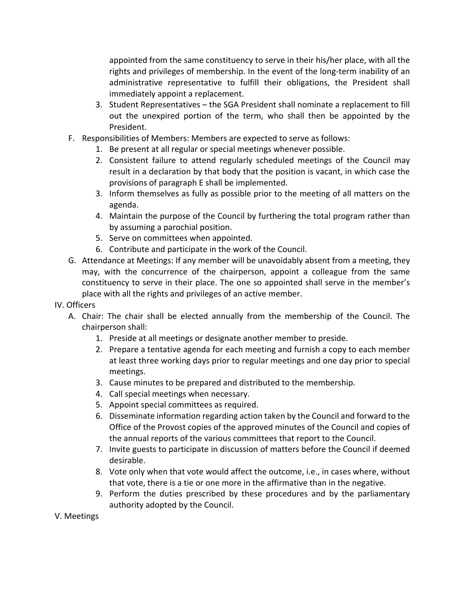appointed from the same constituency to serve in their his/her place, with all the rights and privileges of membership. In the event of the long-term inability of an administrative representative to fulfill their obligations, the President shall immediately appoint a replacement.

- 3. Student Representatives the SGA President shall nominate a replacement to fill out the unexpired portion of the term, who shall then be appointed by the President.
- F. Responsibilities of Members: Members are expected to serve as follows:
	- 1. Be present at all regular or special meetings whenever possible.
	- 2. Consistent failure to attend regularly scheduled meetings of the Council may result in a declaration by that body that the position is vacant, in which case the provisions of paragraph E shall be implemented.
	- 3. Inform themselves as fully as possible prior to the meeting of all matters on the agenda.
	- 4. Maintain the purpose of the Council by furthering the total program rather than by assuming a parochial position.
	- 5. Serve on committees when appointed.
	- 6. Contribute and participate in the work of the Council.
- G. Attendance at Meetings: If any member will be unavoidably absent from a meeting, they may, with the concurrence of the chairperson, appoint a colleague from the same constituency to serve in their place. The one so appointed shall serve in the member's place with all the rights and privileges of an active member.
- IV. Officers
	- A. Chair: The chair shall be elected annually from the membership of the Council. The chairperson shall:
		- 1. Preside at all meetings or designate another member to preside.
		- 2. Prepare a tentative agenda for each meeting and furnish a copy to each member at least three working days prior to regular meetings and one day prior to special meetings.
		- 3. Cause minutes to be prepared and distributed to the membership.
		- 4. Call special meetings when necessary.
		- 5. Appoint special committees as required.
		- 6. Disseminate information regarding action taken by the Council and forward to the Office of the Provost copies of the approved minutes of the Council and copies of the annual reports of the various committees that report to the Council.
		- 7. Invite guests to participate in discussion of matters before the Council if deemed desirable.
		- 8. Vote only when that vote would affect the outcome, i.e., in cases where, without that vote, there is a tie or one more in the affirmative than in the negative.
		- 9. Perform the duties prescribed by these procedures and by the parliamentary authority adopted by the Council.
- V. Meetings